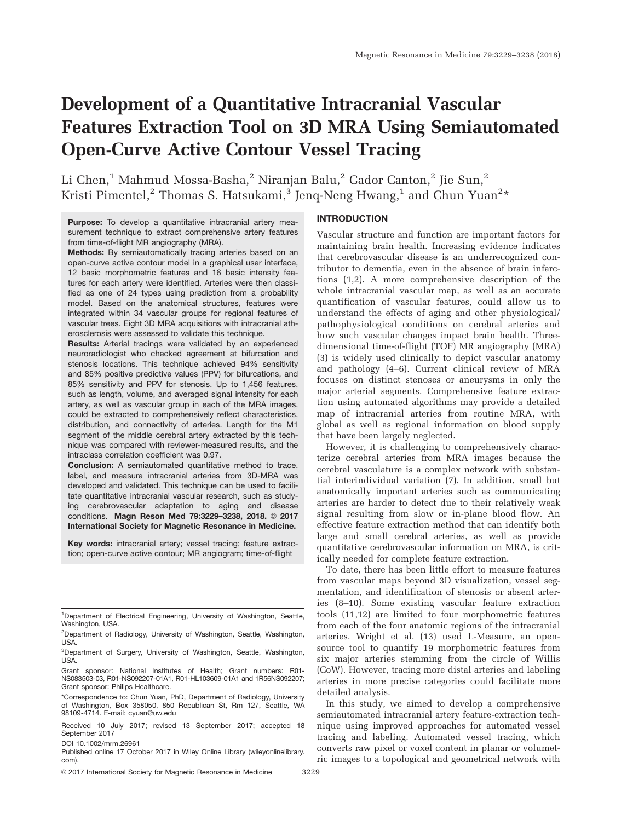# Development of a Quantitative Intracranial Vascular Features Extraction Tool on 3D MRA Using Semiautomated Open-Curve Active Contour Vessel Tracing

Li Chen,<sup>1</sup> Mahmud Mossa-Basha,<sup>2</sup> Niranjan Balu,<sup>2</sup> Gador Canton,<sup>2</sup> Jie Sun,<sup>2</sup> Kristi Pimentel, $^2$  Thomas S. Hatsukami, $^3$  Jenq-Neng Hwang, $^1$  and Chun Yuan $^{2\,*}$ 

Purpose: To develop a quantitative intracranial artery measurement technique to extract comprehensive artery features from time-of-flight MR angiography (MRA).

Methods: By semiautomatically tracing arteries based on an open-curve active contour model in a graphical user interface, 12 basic morphometric features and 16 basic intensity features for each artery were identified. Arteries were then classified as one of 24 types using prediction from a probability model. Based on the anatomical structures, features were integrated within 34 vascular groups for regional features of vascular trees. Eight 3D MRA acquisitions with intracranial atherosclerosis were assessed to validate this technique.

Results: Arterial tracings were validated by an experienced neuroradiologist who checked agreement at bifurcation and stenosis locations. This technique achieved 94% sensitivity and 85% positive predictive values (PPV) for bifurcations, and 85% sensitivity and PPV for stenosis. Up to 1,456 features, such as length, volume, and averaged signal intensity for each artery, as well as vascular group in each of the MRA images, could be extracted to comprehensively reflect characteristics, distribution, and connectivity of arteries. Length for the M1 segment of the middle cerebral artery extracted by this technique was compared with reviewer-measured results, and the intraclass correlation coefficient was 0.97.

Conclusion: A semiautomated quantitative method to trace, label, and measure intracranial arteries from 3D-MRA was developed and validated. This technique can be used to facilitate quantitative intracranial vascular research, such as studying cerebrovascular adaptation to aging and disease conditions. Magn Reson Med 79:3229-3238, 2018. © 2017 International Society for Magnetic Resonance in Medicine.

Key words: intracranial artery; vessel tracing; feature extraction; open-curve active contour; MR angiogram; time-of-flight

V<sup>C</sup> 2017 International Society for Magnetic Resonance in Medicine 3229

# **INTRODUCTION**

Vascular structure and function are important factors for maintaining brain health. Increasing evidence indicates that cerebrovascular disease is an underrecognized contributor to dementia, even in the absence of brain infarctions (1,2). A more comprehensive description of the whole intracranial vascular map, as well as an accurate quantification of vascular features, could allow us to understand the effects of aging and other physiological/ pathophysiological conditions on cerebral arteries and how such vascular changes impact brain health. Threedimensional time-of-flight (TOF) MR angiography (MRA) (3) is widely used clinically to depict vascular anatomy and pathology (4–6). Current clinical review of MRA focuses on distinct stenoses or aneurysms in only the major arterial segments. Comprehensive feature extraction using automated algorithms may provide a detailed map of intracranial arteries from routine MRA, with global as well as regional information on blood supply that have been largely neglected.

However, it is challenging to comprehensively characterize cerebral arteries from MRA images because the cerebral vasculature is a complex network with substantial interindividual variation (7). In addition, small but anatomically important arteries such as communicating arteries are harder to detect due to their relatively weak signal resulting from slow or in-plane blood flow. An effective feature extraction method that can identify both large and small cerebral arteries, as well as provide quantitative cerebrovascular information on MRA, is critically needed for complete feature extraction.

To date, there has been little effort to measure features from vascular maps beyond 3D visualization, vessel segmentation, and identification of stenosis or absent arteries (8–10). Some existing vascular feature extraction tools (11,12) are limited to four morphometric features from each of the four anatomic regions of the intracranial arteries. Wright et al. (13) used L-Measure, an opensource tool to quantify 19 morphometric features from six major arteries stemming from the circle of Willis (CoW). However, tracing more distal arteries and labeling arteries in more precise categories could facilitate more detailed analysis.

In this study, we aimed to develop a comprehensive semiautomated intracranial artery feature-extraction technique using improved approaches for automated vessel tracing and labeling. Automated vessel tracing, which converts raw pixel or voxel content in planar or volumetric images to a topological and geometrical network with

<sup>&</sup>lt;sup>1</sup>Department of Electrical Engineering, University of Washington, Seattle, Washington, USA.

<sup>&</sup>lt;sup>2</sup>Department of Radiology, University of Washington, Seattle, Washington, USA.

<sup>&</sup>lt;sup>3</sup>Department of Surgery, University of Washington, Seattle, Washington, USA.

Grant sponsor: National Institutes of Health; Grant numbers: R01- NS083503-03, R01-NS092207-01A1, R01-HL103609-01A1 and 1R56NS092207; Grant sponsor: Philips Healthcare.

<sup>\*</sup>Correspondence to: Chun Yuan, PhD, Department of Radiology, University of Washington, Box 358050, 850 Republican St, Rm 127, Seattle, WA 98109-4714. E-mail: cyuan@uw.edu

Received 10 July 2017; revised 13 September 2017; accepted 18 September 2017

DOI 10.1002/mrm.26961

Published online 17 October 2017 in Wiley Online Library (wileyonlinelibrary. com).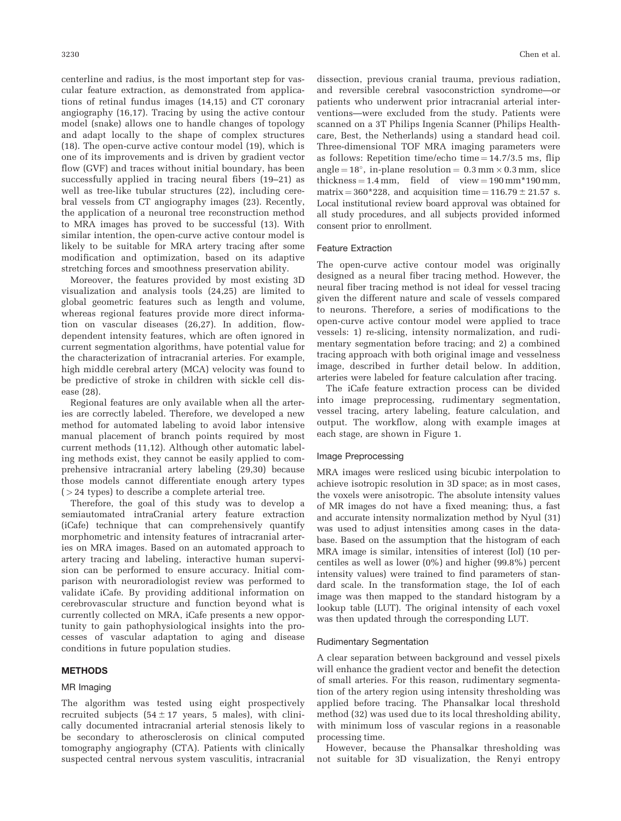centerline and radius, is the most important step for vascular feature extraction, as demonstrated from applications of retinal fundus images (14,15) and CT coronary angiography (16,17). Tracing by using the active contour model (snake) allows one to handle changes of topology and adapt locally to the shape of complex structures (18). The open-curve active contour model (19), which is one of its improvements and is driven by gradient vector flow (GVF) and traces without initial boundary, has been successfully applied in tracing neural fibers (19–21) as well as tree-like tubular structures (22), including cerebral vessels from CT angiography images (23). Recently, the application of a neuronal tree reconstruction method to MRA images has proved to be successful (13). With similar intention, the open-curve active contour model is likely to be suitable for MRA artery tracing after some modification and optimization, based on its adaptive stretching forces and smoothness preservation ability.

Moreover, the features provided by most existing 3D visualization and analysis tools (24,25) are limited to global geometric features such as length and volume, whereas regional features provide more direct information on vascular diseases (26,27). In addition, flowdependent intensity features, which are often ignored in current segmentation algorithms, have potential value for the characterization of intracranial arteries. For example, high middle cerebral artery (MCA) velocity was found to be predictive of stroke in children with sickle cell disease (28).

Regional features are only available when all the arteries are correctly labeled. Therefore, we developed a new method for automated labeling to avoid labor intensive manual placement of branch points required by most current methods (11,12). Although other automatic labeling methods exist, they cannot be easily applied to comprehensive intracranial artery labeling (29,30) because those models cannot differentiate enough artery types  $($  > 24 types) to describe a complete arterial tree.

Therefore, the goal of this study was to develop a semiautomated intraCranial artery feature extraction (iCafe) technique that can comprehensively quantify morphometric and intensity features of intracranial arteries on MRA images. Based on an automated approach to artery tracing and labeling, interactive human supervision can be performed to ensure accuracy. Initial comparison with neuroradiologist review was performed to validate iCafe. By providing additional information on cerebrovascular structure and function beyond what is currently collected on MRA, iCafe presents a new opportunity to gain pathophysiological insights into the processes of vascular adaptation to aging and disease conditions in future population studies.

# METHODS

#### MR Imaging

The algorithm was tested using eight prospectively recruited subjects  $(54 \pm 17 \text{ years}, 5 \text{ males})$ , with clinically documented intracranial arterial stenosis likely to be secondary to atherosclerosis on clinical computed tomography angiography (CTA). Patients with clinically suspected central nervous system vasculitis, intracranial dissection, previous cranial trauma, previous radiation, and reversible cerebral vasoconstriction syndrome—or patients who underwent prior intracranial arterial interventions—were excluded from the study. Patients were scanned on a 3T Philips Ingenia Scanner (Philips Healthcare, Best, the Netherlands) using a standard head coil. Three-dimensional TOF MRA imaging parameters were as follows: Repetition time/echo time  $= 14.7/3.5$  ms, flip angle =  $18^{\circ}$ , in-plane resolution =  $0.3 \text{ mm} \times 0.3 \text{ mm}$ , slice thickness =  $1.4$  mm, field of view =  $190$  mm<sup>\*</sup>190 mm, matrix =  $360*228$ , and acquisition time =  $116.79 \pm 21.57$  s. Local institutional review board approval was obtained for all study procedures, and all subjects provided informed consent prior to enrollment.

#### Feature Extraction

The open-curve active contour model was originally designed as a neural fiber tracing method. However, the neural fiber tracing method is not ideal for vessel tracing given the different nature and scale of vessels compared to neurons. Therefore, a series of modifications to the open-curve active contour model were applied to trace vessels: 1) re-slicing, intensity normalization, and rudimentary segmentation before tracing; and 2) a combined tracing approach with both original image and vesselness image, described in further detail below. In addition, arteries were labeled for feature calculation after tracing.

The iCafe feature extraction process can be divided into image preprocessing, rudimentary segmentation, vessel tracing, artery labeling, feature calculation, and output. The workflow, along with example images at each stage, are shown in Figure 1.

## Image Preprocessing

MRA images were resliced using bicubic interpolation to achieve isotropic resolution in 3D space; as in most cases, the voxels were anisotropic. The absolute intensity values of MR images do not have a fixed meaning; thus, a fast and accurate intensity normalization method by Nyul (31) was used to adjust intensities among cases in the database. Based on the assumption that the histogram of each MRA image is similar, intensities of interest (IoI) (10 percentiles as well as lower (0%) and higher (99.8%) percent intensity values) were trained to find parameters of standard scale. In the transformation stage, the IoI of each image was then mapped to the standard histogram by a lookup table (LUT). The original intensity of each voxel was then updated through the corresponding LUT.

## Rudimentary Segmentation

A clear separation between background and vessel pixels will enhance the gradient vector and benefit the detection of small arteries. For this reason, rudimentary segmentation of the artery region using intensity thresholding was applied before tracing. The Phansalkar local threshold method (32) was used due to its local thresholding ability, with minimum loss of vascular regions in a reasonable processing time.

However, because the Phansalkar thresholding was not suitable for 3D visualization, the Renyi entropy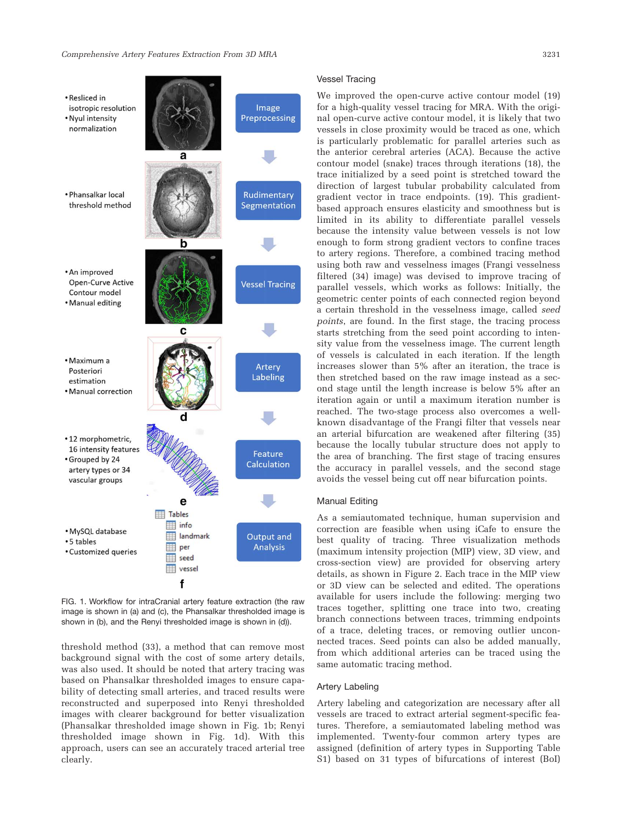

FIG. 1. Workflow for intraCranial artery feature extraction (the raw image is shown in (a) and (c), the Phansalkar thresholded image is shown in (b), and the Renyi thresholded image is shown in (d)).

threshold method (33), a method that can remove most background signal with the cost of some artery details, was also used. It should be noted that artery tracing was based on Phansalkar thresholded images to ensure capability of detecting small arteries, and traced results were reconstructed and superposed into Renyi thresholded images with clearer background for better visualization (Phansalkar thresholded image shown in Fig. 1b; Renyi thresholded image shown in Fig. 1d). With this approach, users can see an accurately traced arterial tree clearly.

## Vessel Tracing

We improved the open-curve active contour model (19) for a high-quality vessel tracing for MRA. With the original open-curve active contour model, it is likely that two vessels in close proximity would be traced as one, which is particularly problematic for parallel arteries such as the anterior cerebral arteries (ACA). Because the active contour model (snake) traces through iterations (18), the trace initialized by a seed point is stretched toward the direction of largest tubular probability calculated from gradient vector in trace endpoints. (19). This gradientbased approach ensures elasticity and smoothness but is limited in its ability to differentiate parallel vessels because the intensity value between vessels is not low enough to form strong gradient vectors to confine traces to artery regions. Therefore, a combined tracing method using both raw and vesselness images (Frangi vesselness filtered (34) image) was devised to improve tracing of parallel vessels, which works as follows: Initially, the geometric center points of each connected region beyond a certain threshold in the vesselness image, called seed points, are found. In the first stage, the tracing process starts stretching from the seed point according to intensity value from the vesselness image. The current length of vessels is calculated in each iteration. If the length increases slower than 5% after an iteration, the trace is then stretched based on the raw image instead as a second stage until the length increase is below 5% after an iteration again or until a maximum iteration number is reached. The two-stage process also overcomes a wellknown disadvantage of the Frangi filter that vessels near an arterial bifurcation are weakened after filtering (35) because the locally tubular structure does not apply to the area of branching. The first stage of tracing ensures the accuracy in parallel vessels, and the second stage avoids the vessel being cut off near bifurcation points.

#### Manual Editing

As a semiautomated technique, human supervision and correction are feasible when using iCafe to ensure the best quality of tracing. Three visualization methods (maximum intensity projection (MIP) view, 3D view, and cross-section view) are provided for observing artery details, as shown in Figure 2. Each trace in the MIP view or 3D view can be selected and edited. The operations available for users include the following: merging two traces together, splitting one trace into two, creating branch connections between traces, trimming endpoints of a trace, deleting traces, or removing outlier unconnected traces. Seed points can also be added manually, from which additional arteries can be traced using the same automatic tracing method.

## Artery Labeling

Artery labeling and categorization are necessary after all vessels are traced to extract arterial segment-specific features. Therefore, a semiautomated labeling method was implemented. Twenty-four common artery types are assigned (definition of artery types in [Supporting Table](http://binarystore.wiley.com/store/10.1002/mrm.26961/asset/supinfo/mrm26961-sup-0001-suppinfo01.docx?v=1&s=8f298473ab0db81b0cd475818723bc19669a9d1c) S1) based on 31 types of bifurcations of interest (BoI)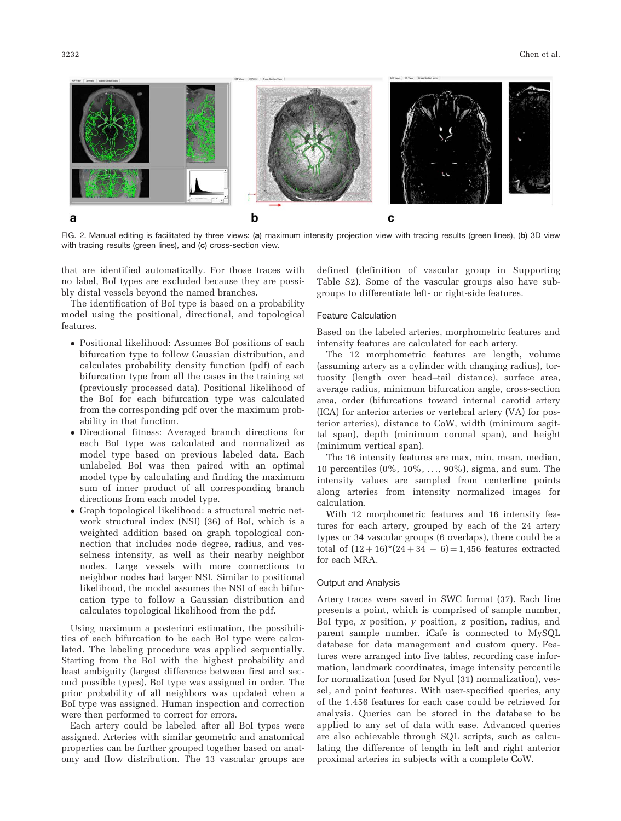

FIG. 2. Manual editing is facilitated by three views: (a) maximum intensity projection view with tracing results (green lines), (b) 3D view with tracing results (green lines), and (c) cross-section view.

that are identified automatically. For those traces with no label, BoI types are excluded because they are possibly distal vessels beyond the named branches.

The identification of BoI type is based on a probability model using the positional, directional, and topological features.

- Positional likelihood: Assumes BoI positions of each bifurcation type to follow Gaussian distribution, and calculates probability density function (pdf) of each bifurcation type from all the cases in the training set (previously processed data). Positional likelihood of the BoI for each bifurcation type was calculated from the corresponding pdf over the maximum probability in that function.
- Directional fitness: Averaged branch directions for each BoI type was calculated and normalized as model type based on previous labeled data. Each unlabeled BoI was then paired with an optimal model type by calculating and finding the maximum sum of inner product of all corresponding branch directions from each model type.
- Graph topological likelihood: a structural metric network structural index (NSI) (36) of BoI, which is a weighted addition based on graph topological connection that includes node degree, radius, and vesselness intensity, as well as their nearby neighbor nodes. Large vessels with more connections to neighbor nodes had larger NSI. Similar to positional likelihood, the model assumes the NSI of each bifurcation type to follow a Gaussian distribution and calculates topological likelihood from the pdf.

Using maximum a posteriori estimation, the possibilities of each bifurcation to be each BoI type were calculated. The labeling procedure was applied sequentially. Starting from the BoI with the highest probability and least ambiguity (largest difference between first and second possible types), BoI type was assigned in order. The prior probability of all neighbors was updated when a BoI type was assigned. Human inspection and correction were then performed to correct for errors.

Each artery could be labeled after all BoI types were assigned. Arteries with similar geometric and anatomical properties can be further grouped together based on anatomy and flow distribution. The 13 vascular groups are defined (definition of vascular group in Supporting [Table S2](http://binarystore.wiley.com/store/10.1002/mrm.26961/asset/supinfo/mrm26961-sup-0001-suppinfo01.docx?v=1&s=8f298473ab0db81b0cd475818723bc19669a9d1c)). Some of the vascular groups also have subgroups to differentiate left- or right-side features.

## Feature Calculation

Based on the labeled arteries, morphometric features and intensity features are calculated for each artery.

The 12 morphometric features are length, volume (assuming artery as a cylinder with changing radius), tortuosity (length over head–tail distance), surface area, average radius, minimum bifurcation angle, cross-section area, order (bifurcations toward internal carotid artery (ICA) for anterior arteries or vertebral artery (VA) for posterior arteries), distance to CoW, width (minimum sagittal span), depth (minimum coronal span), and height (minimum vertical span).

The 16 intensity features are max, min, mean, median, 10 percentiles (0%, 10%, ..., 90%), sigma, and sum. The intensity values are sampled from centerline points along arteries from intensity normalized images for calculation.

With 12 morphometric features and 16 intensity features for each artery, grouped by each of the 24 artery types or 34 vascular groups (6 overlaps), there could be a total of  $(12+16)*(24+34-6)=1,456$  features extracted for each MRA.

#### Output and Analysis

Artery traces were saved in SWC format (37). Each line presents a point, which is comprised of sample number, BoI type, x position, y position, z position, radius, and parent sample number. iCafe is connected to MySQL database for data management and custom query. Features were arranged into five tables, recording case information, landmark coordinates, image intensity percentile for normalization (used for Nyul (31) normalization), vessel, and point features. With user-specified queries, any of the 1,456 features for each case could be retrieved for analysis. Queries can be stored in the database to be applied to any set of data with ease. Advanced queries are also achievable through SQL scripts, such as calculating the difference of length in left and right anterior proximal arteries in subjects with a complete CoW.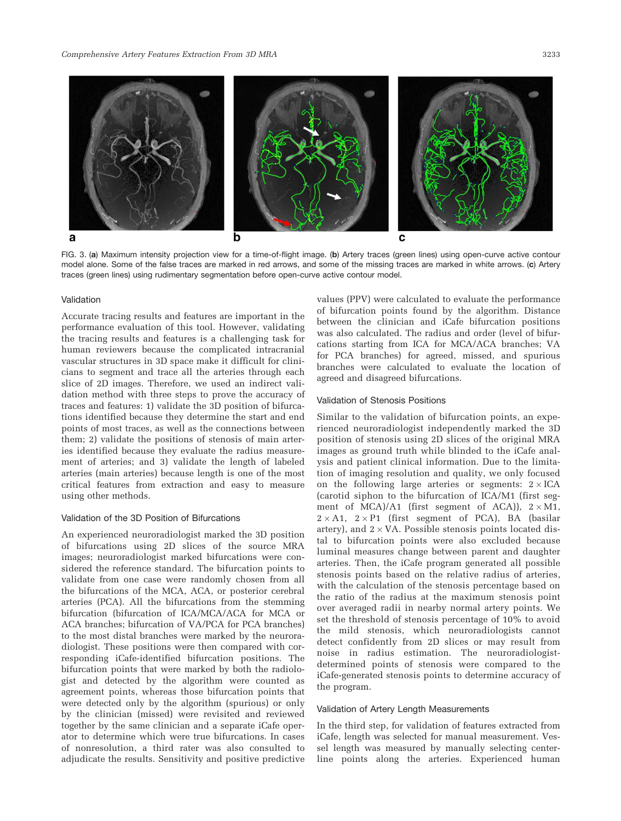

FIG. 3. (a) Maximum intensity projection view for a time-of-flight image. (b) Artery traces (green lines) using open-curve active contour model alone. Some of the false traces are marked in red arrows, and some of the missing traces are marked in white arrows. (c) Artery traces (green lines) using rudimentary segmentation before open-curve active contour model.

#### Validation

Accurate tracing results and features are important in the performance evaluation of this tool. However, validating the tracing results and features is a challenging task for human reviewers because the complicated intracranial vascular structures in 3D space make it difficult for clinicians to segment and trace all the arteries through each slice of 2D images. Therefore, we used an indirect validation method with three steps to prove the accuracy of traces and features: 1) validate the 3D position of bifurcations identified because they determine the start and end points of most traces, as well as the connections between them; 2) validate the positions of stenosis of main arteries identified because they evaluate the radius measurement of arteries; and 3) validate the length of labeled arteries (main arteries) because length is one of the most critical features from extraction and easy to measure using other methods.

# Validation of the 3D Position of Bifurcations

An experienced neuroradiologist marked the 3D position of bifurcations using 2D slices of the source MRA images; neuroradiologist marked bifurcations were considered the reference standard. The bifurcation points to validate from one case were randomly chosen from all the bifurcations of the MCA, ACA, or posterior cerebral arteries (PCA). All the bifurcations from the stemming bifurcation (bifurcation of ICA/MCA/ACA for MCA or ACA branches; bifurcation of VA/PCA for PCA branches) to the most distal branches were marked by the neuroradiologist. These positions were then compared with corresponding iCafe-identified bifurcation positions. The bifurcation points that were marked by both the radiologist and detected by the algorithm were counted as agreement points, whereas those bifurcation points that were detected only by the algorithm (spurious) or only by the clinician (missed) were revisited and reviewed together by the same clinician and a separate iCafe operator to determine which were true bifurcations. In cases of nonresolution, a third rater was also consulted to adjudicate the results. Sensitivity and positive predictive

values (PPV) were calculated to evaluate the performance of bifurcation points found by the algorithm. Distance between the clinician and iCafe bifurcation positions was also calculated. The radius and order (level of bifurcations starting from ICA for MCA/ACA branches; VA for PCA branches) for agreed, missed, and spurious branches were calculated to evaluate the location of agreed and disagreed bifurcations.

## Validation of Stenosis Positions

Similar to the validation of bifurcation points, an experienced neuroradiologist independently marked the 3D position of stenosis using 2D slices of the original MRA images as ground truth while blinded to the iCafe analysis and patient clinical information. Due to the limitation of imaging resolution and quality, we only focused on the following large arteries or segments:  $2 \times ICA$ (carotid siphon to the bifurcation of ICA/M1 (first segment of MCA)/A1 (first segment of ACA)),  $2 \times M1$ ,  $2 \times A1$ ,  $2 \times P1$  (first segment of PCA), BA (basilar artery), and  $2 \times VA$ . Possible stenosis points located distal to bifurcation points were also excluded because luminal measures change between parent and daughter arteries. Then, the iCafe program generated all possible stenosis points based on the relative radius of arteries, with the calculation of the stenosis percentage based on the ratio of the radius at the maximum stenosis point over averaged radii in nearby normal artery points. We set the threshold of stenosis percentage of 10% to avoid the mild stenosis, which neuroradiologists cannot detect confidently from 2D slices or may result from noise in radius estimation. The neuroradiologistdetermined points of stenosis were compared to the iCafe-generated stenosis points to determine accuracy of the program.

#### Validation of Artery Length Measurements

In the third step, for validation of features extracted from iCafe, length was selected for manual measurement. Vessel length was measured by manually selecting centerline points along the arteries. Experienced human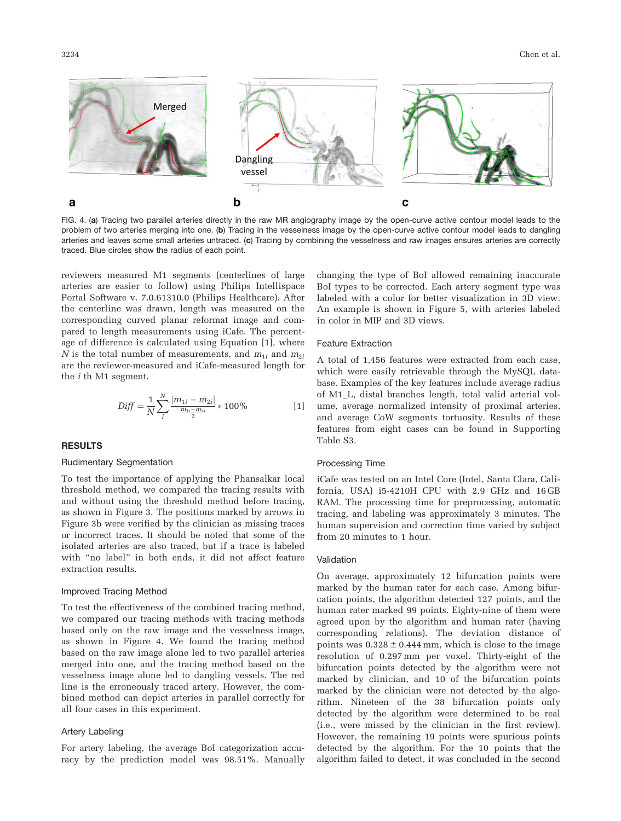

FIG. 4. (a) Tracing two parallel arteries directly in the raw MR angiography image by the open-curve active contour model leads to the problem of two arteries merging into one. (b) Tracing in the vesselness image by the open-curve active contour model leads to dangling arteries and leaves some small arteries untraced. (c) Tracing by combining the vesselness and raw images ensures arteries are correctly traced. Blue circles show the radius of each point.

reviewers measured M1 segments (centerlines of large arteries are easier to follow) using Philips Intellispace Portal Software v. 7.0.61310.0 (Philips Healthcare). After the centerline was drawn, length was measured on the corresponding curved planar reformat image and compared to length measurements using iCafe. The percentage of difference is calculated using Equation [1], where N is the total number of measurements, and  $m_{1i}$  and  $m_{2i}$ are the reviewer-measured and iCafe-measured length for the i th M1 segment.

$$
Diff = \frac{1}{N} \sum_{i}^{N} \frac{|m_{1i} - m_{2i}|}{\frac{m_{1i} + m_{2i}}{2}} * 100\% \tag{1}
$$

#### RESULTS

## Rudimentary Segmentation

To test the importance of applying the Phansalkar local threshold method, we compared the tracing results with and without using the threshold method before tracing, as shown in Figure 3. The positions marked by arrows in Figure 3b were verified by the clinician as missing traces or incorrect traces. It should be noted that some of the isolated arteries are also traced, but if a trace is labeled with "no label" in both ends, it did not affect feature extraction results.

## Improved Tracing Method

To test the effectiveness of the combined tracing method, we compared our tracing methods with tracing methods based only on the raw image and the vesselness image, as shown in Figure 4. We found the tracing method based on the raw image alone led to two parallel arteries merged into one, and the tracing method based on the vesselness image alone led to dangling vessels. The red line is the erroneously traced artery. However, the combined method can depict arteries in parallel correctly for all four cases in this experiment.

## Artery Labeling

For artery labeling, the average BoI categorization accuracy by the prediction model was 98.51%. Manually changing the type of BoI allowed remaining inaccurate BoI types to be corrected. Each artery segment type was labeled with a color for better visualization in 3D view. An example is shown in Figure 5, with arteries labeled in color in MIP and 3D views.

# Feature Extraction

A total of 1,456 features were extracted from each case, which were easily retrievable through the MySQL database. Examples of the key features include average radius of M1\_L, distal branches length, total valid arterial volume, average normalized intensity of proximal arteries, and average CoW segments tortuosity. Results of these features from eight cases can be found in Supporting [Table S3](http://binarystore.wiley.com/store/10.1002/mrm.26961/asset/supinfo/mrm26961-sup-0001-suppinfo01.docx?v=1&s=8f298473ab0db81b0cd475818723bc19669a9d1c).

## Processing Time

iCafe was tested on an Intel Core (Intel, Santa Clara, California, USA) i5-4210H CPU with 2.9 GHz and 16 GB RAM. The processing time for preprocessing, automatic tracing, and labeling was approximately 3 minutes. The human supervision and correction time varied by subject from 20 minutes to 1 hour.

# Validation

On average, approximately 12 bifurcation points were marked by the human rater for each case. Among bifurcation points, the algorithm detected 127 points, and the human rater marked 99 points. Eighty-nine of them were agreed upon by the algorithm and human rater (having corresponding relations). The deviation distance of points was  $0.328 \pm 0.444$  mm, which is close to the image resolution of 0.297 mm per voxel. Thirty-eight of the bifurcation points detected by the algorithm were not marked by clinician, and 10 of the bifurcation points marked by the clinician were not detected by the algorithm. Nineteen of the 38 bifurcation points only detected by the algorithm were determined to be real (i.e., were missed by the clinician in the first review). However, the remaining 19 points were spurious points detected by the algorithm. For the 10 points that the algorithm failed to detect, it was concluded in the second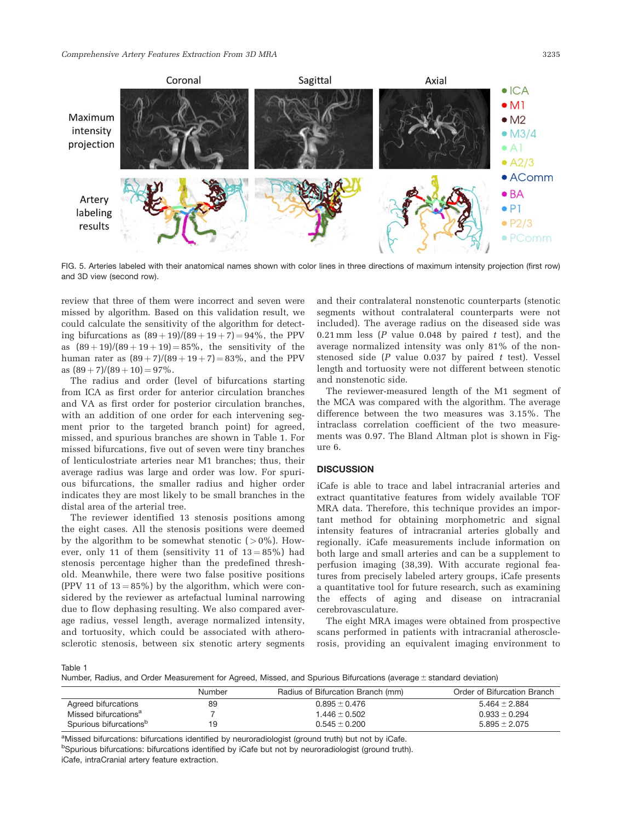

FIG. 5. Arteries labeled with their anatomical names shown with color lines in three directions of maximum intensity projection (first row) and 3D view (second row).

review that three of them were incorrect and seven were missed by algorithm. Based on this validation result, we could calculate the sensitivity of the algorithm for detecting bifurcations as  $(89+19)/(89+19+7) = 94\%$ , the PPV as  $(89+19)/(89+19+19) = 85\%$ , the sensitivity of the human rater as  $(89 + 7)/(89 + 19 + 7) = 83\%$ , and the PPV as  $(89+7)/(89+10) = 97\%$ .

The radius and order (level of bifurcations starting from ICA as first order for anterior circulation branches and VA as first order for posterior circulation branches, with an addition of one order for each intervening segment prior to the targeted branch point) for agreed, missed, and spurious branches are shown in Table 1. For missed bifurcations, five out of seven were tiny branches of lenticulostriate arteries near M1 branches; thus, their average radius was large and order was low. For spurious bifurcations, the smaller radius and higher order indicates they are most likely to be small branches in the distal area of the arterial tree.

The reviewer identified 13 stenosis positions among the eight cases. All the stenosis positions were deemed by the algorithm to be somewhat stenotic  $( > 0\%)$ . However, only 11 of them (sensitivity 11 of  $13 = 85\%$ ) had stenosis percentage higher than the predefined threshold. Meanwhile, there were two false positive positions (PPV 11 of  $13 = 85\%$ ) by the algorithm, which were considered by the reviewer as artefactual luminal narrowing due to flow dephasing resulting. We also compared average radius, vessel length, average normalized intensity, and tortuosity, which could be associated with atherosclerotic stenosis, between six stenotic artery segments and their contralateral nonstenotic counterparts (stenotic segments without contralateral counterparts were not included). The average radius on the diseased side was 0.21 mm less ( $P$  value 0.048 by paired  $t$  test), and the average normalized intensity was only 81% of the nonstenosed side  $(P$  value 0.037 by paired  $t$  test). Vessel length and tortuosity were not different between stenotic and nonstenotic side.

The reviewer-measured length of the M1 segment of the MCA was compared with the algorithm. The average difference between the two measures was 3.15%. The intraclass correlation coefficient of the two measurements was 0.97. The Bland Altman plot is shown in Figure 6.

## **DISCUSSION**

iCafe is able to trace and label intracranial arteries and extract quantitative features from widely available TOF MRA data. Therefore, this technique provides an important method for obtaining morphometric and signal intensity features of intracranial arteries globally and regionally. iCafe measurements include information on both large and small arteries and can be a supplement to perfusion imaging (38,39). With accurate regional features from precisely labeled artery groups, iCafe presents a quantitative tool for future research, such as examining the effects of aging and disease on intracranial cerebrovasculature.

The eight MRA images were obtained from prospective scans performed in patients with intracranial atherosclerosis, providing an equivalent imaging environment to

Table 1

Number, Radius, and Order Measurement for Agreed, Missed, and Spurious Bifurcations (average ± standard deviation)

|                                    | Number | Radius of Bifurcation Branch (mm) | Order of Bifurcation Branch |
|------------------------------------|--------|-----------------------------------|-----------------------------|
| Agreed bifurcations                | 89     | $0.895 \pm 0.476$                 | $5.464 \pm 2.884$           |
| Missed bifurcations <sup>a</sup>   |        | $1.446 \pm 0.502$                 | $0.933 \pm 0.294$           |
| Spurious bifurcations <sup>p</sup> | 19     | $0.545 \pm 0.200$                 | $5.895 \pm 2.075$           |

<sup>a</sup>Missed bifurcations: bifurcations identified by neuroradiologist (ground truth) but not by iCafe.

<sup>b</sup>Spurious bifurcations: bifurcations identified by iCafe but not by neuroradiologist (ground truth). iCafe, intraCranial artery feature extraction.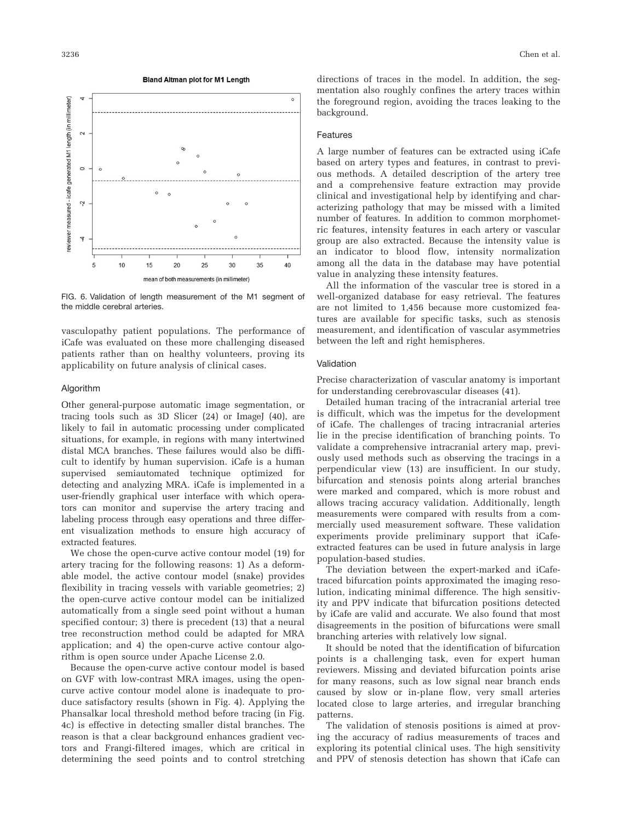

FIG. 6. Validation of length measurement of the M1 segment of the middle cerebral arteries.

vasculopathy patient populations. The performance of iCafe was evaluated on these more challenging diseased patients rather than on healthy volunteers, proving its applicability on future analysis of clinical cases.

## Algorithm

Other general-purpose automatic image segmentation, or tracing tools such as 3D Slicer (24) or ImageJ (40), are likely to fail in automatic processing under complicated situations, for example, in regions with many intertwined distal MCA branches. These failures would also be difficult to identify by human supervision. iCafe is a human supervised semiautomated technique optimized for detecting and analyzing MRA. iCafe is implemented in a user-friendly graphical user interface with which operators can monitor and supervise the artery tracing and labeling process through easy operations and three different visualization methods to ensure high accuracy of extracted features.

We chose the open-curve active contour model (19) for artery tracing for the following reasons: 1) As a deformable model, the active contour model (snake) provides flexibility in tracing vessels with variable geometries; 2) the open-curve active contour model can be initialized automatically from a single seed point without a human specified contour; 3) there is precedent (13) that a neural tree reconstruction method could be adapted for MRA application; and 4) the open-curve active contour algorithm is open source under Apache License 2.0.

Because the open-curve active contour model is based on GVF with low-contrast MRA images, using the opencurve active contour model alone is inadequate to produce satisfactory results (shown in Fig. 4). Applying the Phansalkar local threshold method before tracing (in Fig. 4c) is effective in detecting smaller distal branches. The reason is that a clear background enhances gradient vectors and Frangi-filtered images, which are critical in determining the seed points and to control stretching directions of traces in the model. In addition, the segmentation also roughly confines the artery traces within the foreground region, avoiding the traces leaking to the background.

#### Features

A large number of features can be extracted using iCafe based on artery types and features, in contrast to previous methods. A detailed description of the artery tree and a comprehensive feature extraction may provide clinical and investigational help by identifying and characterizing pathology that may be missed with a limited number of features. In addition to common morphometric features, intensity features in each artery or vascular group are also extracted. Because the intensity value is an indicator to blood flow, intensity normalization among all the data in the database may have potential value in analyzing these intensity features.

All the information of the vascular tree is stored in a well-organized database for easy retrieval. The features are not limited to 1,456 because more customized features are available for specific tasks, such as stenosis measurement, and identification of vascular asymmetries between the left and right hemispheres.

#### Validation

Precise characterization of vascular anatomy is important for understanding cerebrovascular diseases (41).

Detailed human tracing of the intracranial arterial tree is difficult, which was the impetus for the development of iCafe. The challenges of tracing intracranial arteries lie in the precise identification of branching points. To validate a comprehensive intracranial artery map, previously used methods such as observing the tracings in a perpendicular view (13) are insufficient. In our study, bifurcation and stenosis points along arterial branches were marked and compared, which is more robust and allows tracing accuracy validation. Additionally, length measurements were compared with results from a commercially used measurement software. These validation experiments provide preliminary support that iCafeextracted features can be used in future analysis in large population-based studies.

The deviation between the expert-marked and iCafetraced bifurcation points approximated the imaging resolution, indicating minimal difference. The high sensitivity and PPV indicate that bifurcation positions detected by iCafe are valid and accurate. We also found that most disagreements in the position of bifurcations were small branching arteries with relatively low signal.

It should be noted that the identification of bifurcation points is a challenging task, even for expert human reviewers. Missing and deviated bifurcation points arise for many reasons, such as low signal near branch ends caused by slow or in-plane flow, very small arteries located close to large arteries, and irregular branching patterns.

The validation of stenosis positions is aimed at proving the accuracy of radius measurements of traces and exploring its potential clinical uses. The high sensitivity and PPV of stenosis detection has shown that iCafe can

**Bland Altman plot for M1 Length**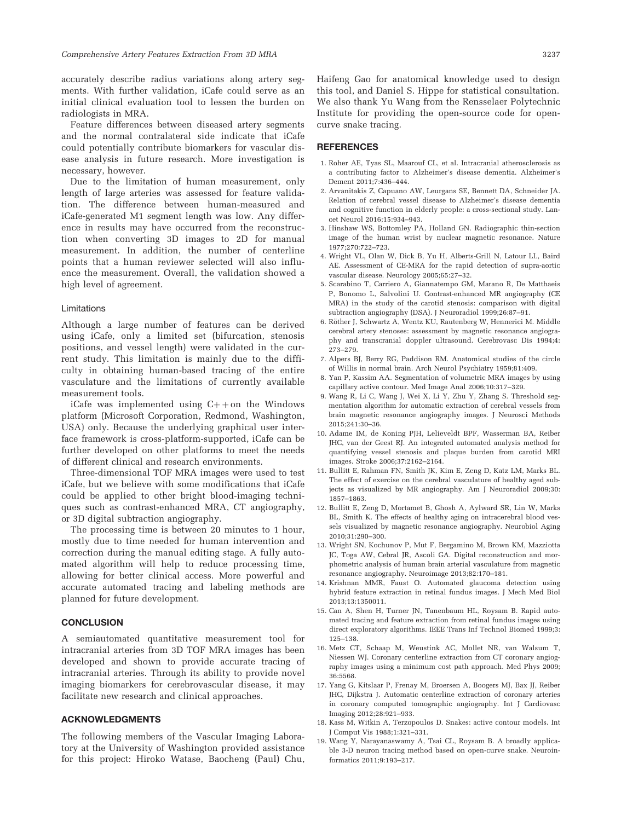accurately describe radius variations along artery segments. With further validation, iCafe could serve as an initial clinical evaluation tool to lessen the burden on radiologists in MRA.

Feature differences between diseased artery segments and the normal contralateral side indicate that iCafe could potentially contribute biomarkers for vascular disease analysis in future research. More investigation is necessary, however.

Due to the limitation of human measurement, only length of large arteries was assessed for feature validation. The difference between human-measured and iCafe-generated M1 segment length was low. Any difference in results may have occurred from the reconstruction when converting 3D images to 2D for manual measurement. In addition, the number of centerline points that a human reviewer selected will also influence the measurement. Overall, the validation showed a high level of agreement.

#### Limitations

Although a large number of features can be derived using iCafe, only a limited set (bifurcation, stenosis positions, and vessel length) were validated in the current study. This limitation is mainly due to the difficulty in obtaining human-based tracing of the entire vasculature and the limitations of currently available measurement tools.

iCafe was implemented using  $C++$  on the Windows platform (Microsoft Corporation, Redmond, Washington, USA) only. Because the underlying graphical user interface framework is cross-platform-supported, iCafe can be further developed on other platforms to meet the needs of different clinical and research environments.

Three-dimensional TOF MRA images were used to test iCafe, but we believe with some modifications that iCafe could be applied to other bright blood-imaging techniques such as contrast-enhanced MRA, CT angiography, or 3D digital subtraction angiography.

The processing time is between 20 minutes to 1 hour, mostly due to time needed for human intervention and correction during the manual editing stage. A fully automated algorithm will help to reduce processing time, allowing for better clinical access. More powerful and accurate automated tracing and labeling methods are planned for future development.

# **CONCLUSION**

A semiautomated quantitative measurement tool for intracranial arteries from 3D TOF MRA images has been developed and shown to provide accurate tracing of intracranial arteries. Through its ability to provide novel imaging biomarkers for cerebrovascular disease, it may facilitate new research and clinical approaches.

## ACKNOWLEDGMENTS

The following members of the Vascular Imaging Laboratory at the University of Washington provided assistance for this project: Hiroko Watase, Baocheng (Paul) Chu, Haifeng Gao for anatomical knowledge used to design this tool, and Daniel S. Hippe for statistical consultation. We also thank Yu Wang from the Rensselaer Polytechnic Institute for providing the open-source code for opencurve snake tracing.

#### **REFERENCES**

- 1. Roher AE, Tyas SL, Maarouf CL, et al. Intracranial atherosclerosis as a contributing factor to Alzheimer's disease dementia. Alzheimer's Dement 2011;7:436–444.
- 2. Arvanitakis Z, Capuano AW, Leurgans SE, Bennett DA, Schneider JA. Relation of cerebral vessel disease to Alzheimer's disease dementia and cognitive function in elderly people: a cross-sectional study. Lancet Neurol 2016;15:934–943.
- 3. Hinshaw WS, Bottomley PA, Holland GN. Radiographic thin-section image of the human wrist by nuclear magnetic resonance. Nature 1977;270:722–723.
- 4. Wright VL, Olan W, Dick B, Yu H, Alberts-Grill N, Latour LL, Baird AE. Assessment of CE-MRA for the rapid detection of supra-aortic vascular disease. Neurology 2005;65:27–32.
- 5. Scarabino T, Carriero A, Giannatempo GM, Marano R, De Matthaeis P, Bonomo L, Salvolini U. Contrast-enhanced MR angiography (CE MRA) in the study of the carotid stenosis: comparison with digital subtraction angiography (DSA). J Neuroradiol 1999;26:87–91.
- 6. Röther J, Schwartz A, Wentz KU, Rautenberg W, Hennerici M. Middle cerebral artery stenoses: assessment by magnetic resonance angiography and transcranial doppler ultrasound. Cerebrovasc Dis 1994;4: 273–279.
- 7. Alpers BJ, Berry RG, Paddison RM. Anatomical studies of the circle of Willis in normal brain. Arch Neurol Psychiatry 1959;81:409.
- 8. Yan P, Kassim AA. Segmentation of volumetric MRA images by using capillary active contour. Med Image Anal 2006;10:317–329.
- 9. Wang R, Li C, Wang J, Wei X, Li Y, Zhu Y, Zhang S. Threshold segmentation algorithm for automatic extraction of cerebral vessels from brain magnetic resonance angiography images. J Neurosci Methods 2015;241:30–36.
- 10. Adame IM, de Koning PJH, Lelieveldt BPF, Wasserman BA, Reiber JHC, van der Geest RJ. An integrated automated analysis method for quantifying vessel stenosis and plaque burden from carotid MRI images. Stroke 2006;37:2162–2164.
- 11. Bullitt E, Rahman FN, Smith JK, Kim E, Zeng D, Katz LM, Marks BL. The effect of exercise on the cerebral vasculature of healthy aged subjects as visualized by MR angiography. Am J Neuroradiol 2009;30: 1857–1863.
- 12. Bullitt E, Zeng D, Mortamet B, Ghosh A, Aylward SR, Lin W, Marks BL, Smith K. The effects of healthy aging on intracerebral blood vessels visualized by magnetic resonance angiography. Neurobiol Aging 2010;31:290–300.
- 13. Wright SN, Kochunov P, Mut F, Bergamino M, Brown KM, Mazziotta JC, Toga AW, Cebral JR, Ascoli GA. Digital reconstruction and morphometric analysis of human brain arterial vasculature from magnetic resonance angiography. Neuroimage 2013;82:170–181.
- 14. Krishnan MMR, Faust O. Automated glaucoma detection using hybrid feature extraction in retinal fundus images. J Mech Med Biol 2013;13:1350011.
- 15. Can A, Shen H, Turner JN, Tanenbaum HL, Roysam B. Rapid automated tracing and feature extraction from retinal fundus images using direct exploratory algorithms. IEEE Trans Inf Technol Biomed 1999;3: 125–138.
- 16. Metz CT, Schaap M, Weustink AC, Mollet NR, van Walsum T, Niessen WJ. Coronary centerline extraction from CT coronary angiography images using a minimum cost path approach. Med Phys 2009; 36:5568.
- 17. Yang G, Kitslaar P, Frenay M, Broersen A, Boogers MJ, Bax JJ, Reiber JHC, Dijkstra J. Automatic centerline extraction of coronary arteries in coronary computed tomographic angiography. Int J Cardiovasc Imaging 2012;28:921–933.
- 18. Kass M, Witkin A, Terzopoulos D. Snakes: active contour models. Int J Comput Vis 1988;1:321–331.
- 19. Wang Y, Narayanaswamy A, Tsai CL, Roysam B. A broadly applicable 3-D neuron tracing method based on open-curve snake. Neuroinformatics 2011;9:193–217.